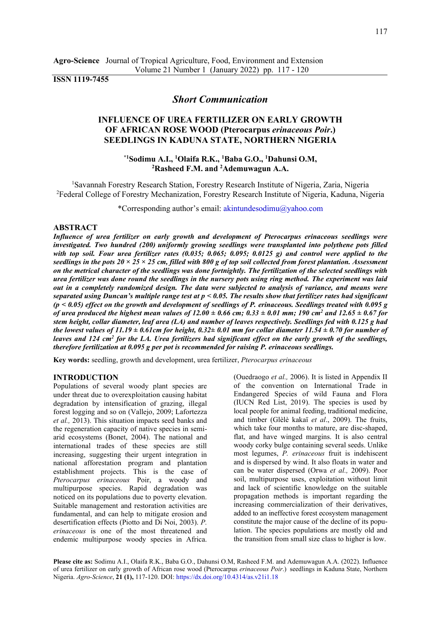**Agro-Science** Journal of Tropical Agriculture, Food, Environment and Extension Volume 21 Number 1 (January 2022) pp. 117 - 120

# **ISSN 1119-7455**

## *Short Communication*

# **INFLUENCE OF UREA FERTILIZER ON EARLY GROWTH OF AFRICAN ROSE WOOD (Pterocarpus** *erinaceous Poir***.) SEEDLINGS IN KADUNA STATE, NORTHERN NIGERIA**

**\*1Sodimu A.I., <sup>1</sup>Olaifa R.K., <sup>1</sup>Baba G.O., <sup>1</sup>Dahunsi O.M, <sup>2</sup>Rasheed F.M. and <sup>2</sup>Ademuwagun A.A.** 

<sup>1</sup>Savannah Forestry Research Station, Forestry Research Institute of Nigeria, Zaria, Nigeria <sup>2</sup>Federal College of Forestry Mechanization, Forestry Research Institute of Nigeria, Kaduna, Nigeria

\*Corresponding author's email: [akintundesodimu@yahoo.com](mailto:akintundesodimu@yahoo.com) 

### **ABSTRACT**

*Influence of urea fertilizer on early growth and development of Pterocarpus erinaceous seedlings were investigated. Two hundred (200) uniformly growing seedlings were transplanted into polythene pots filled with top soil. Four urea fertilizer rates (0.035; 0.065; 0.095; 0.0125 g) and control were applied to the seedlings in the pots 20 × 25 × 25 cm, filled with 800 g of top soil collected from forest plantation. Assessment on the metrical character of the seedlings was done fortnightly. The fertilization of the selected seedlings with urea fertilizer was done round the seedlings in the nursery pots using ring method. The experiment was laid out in a completely randomized design. The data were subjected to analysis of variance, and means were separated using Duncan's multiple range test at p < 0.05. The results show that fertilizer rates had significant (p < 0.05) effect on the growth and development of seedlings of P. erinaceous. Seedlings treated with 0.095 g of urea produced the highest mean values of*  $12.00 \pm 0.66$  *cm;*  $0.33 \pm 0.01$  *mm; 190 cm<sup>2</sup> and*  $12.65 \pm 0.67$  *for stem height, collar diameter, leaf area (LA) and number of leaves respectively. Seedlings fed with 0.125 g had the lowest values of 11.19*  $\pm$  0.61cm for height, 0.32 $\pm$  0.01 mm for collar diameter 11.54  $\pm$  0.70 for number of leaves and 124 cm<sup>2</sup> for the LA. Urea fertilizers had significant effect on the early growth of the seedlings, *therefore fertilization at 0.095 g per pot is recommended for raising P. erinaceous seedlings.* 

**Key words:** seedling, growth and development, urea fertilizer, *Pterocarpus erinaceous*

### **INTRODUCTION**

Populations of several woody plant species are under threat due to overexploitation causing habitat degradation by intensification of grazing, illegal forest logging and so on (Vallejo, 2009; Lafortezza *et al.,* 2013). This situation impacts seed banks and the regeneration capacity of native species in semiarid ecosystems (Bonet, 2004). The national and international trades of these species are still increasing, suggesting their urgent integration in national afforestation program and plantation establishment projects. This is the case of *Pterocarpus erinaceous* Poir, a woody and multipurpose species. Rapid degradation was noticed on its populations due to poverty elevation. Suitable management and restoration activities are fundamental, and can help to mitigate erosion and desertification effects (Piotto and Di Noi, 2003). *P. erinaceous* is one of the most threatened and endemic multipurpose woody species in Africa.

(Ouedraogo *et al.,* 2006). It is listed in Appendix II of the convention on International Trade in Endangered Species of wild Fauna and Flora (IUCN Red List, 2019). The species is used by local people for animal feeding, traditional medicine, and timber (Glèlè kakaï *et al*., 2009). The fruits, which take four months to mature, are disc-shaped, flat, and have winged margins. It is also central woody corky bulge containing several seeds. Unlike most legumes, *P. erinaceous* fruit is indehiscent and is dispersed by wind. It also floats in water and can be water dispersed (Orwa *et al.,* 2009). Poor soil, multipurpose uses, exploitation without limit and lack of scientific knowledge on the suitable propagation methods is important regarding the increasing commercialization of their derivatives, added to an ineffective forest ecosystem management constitute the major cause of the decline of its population. The species populations are mostly old and the transition from small size class to higher is low.

**Please cite as:** Sodimu A.I., Olaifa R.K., Baba G.O., Dahunsi O.M, Rasheed F.M. and Ademuwagun A.A. (2022). Influence of urea fertilizer on early growth of African rose wood (Pterocarpus *erinaceous Poir*.) seedlings in Kaduna State, Northern Nigeria. *Agro-Science*, **21 (1),** 117-120. DOI: [https://dx.doi.org/10.4314/as.v21i1.1](https://dx.doi.org/10.4314/as.v21i1)8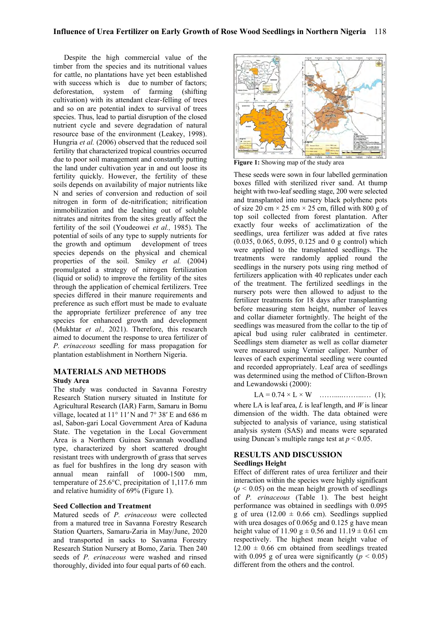Despite the high commercial value of the timber from the species and its nutritional values for cattle, no plantations have yet been established with success which is due to number of factors; deforestation, system of farming (shifting cultivation) with its attendant clear-felling of trees and so on are potential index to survival of trees species. Thus, lead to partial disruption of the closed nutrient cycle and severe degradation of natural resource base of the environment (Leakey, 1998). Hungria *et al.* (2006) observed that the reduced soil fertility that characterized tropical countries occurred due to poor soil management and constantly putting the land under cultivation year in and out loose its fertility quickly. However, the fertility of these soils depends on availability of major nutrients like N and series of conversion and reduction of soil nitrogen in form of de-nitrification; nitrification immobilization and the leaching out of soluble nitrates and nitrites from the sites greatly affect the fertility of the soil (Youdeowei *et al.,* 1985). The potential of soils of any type to supply nutrients for the growth and optimum development of trees species depends on the physical and chemical properties of the soil. Smiley *et al.* (2004) promulgated a strategy of nitrogen fertilization (liquid or solid) to improve the fertility of the sites through the application of chemical fertilizers. Tree species differed in their manure requirements and preference as such effort must be made to evaluate the appropriate fertilizer preference of any tree species for enhanced growth and development (Mukhtar *et al.,* 2021). Therefore, this research aimed to document the response to urea fertilizer of *P. erinaceous* seedling for mass propagation for plantation establishment in Northern Nigeria.

## **MATERIALS AND METHODS**

### **Study Area**

The study was conducted in Savanna Forestry Research Station nursery situated in Institute for Agricultural Research (IAR) Farm, Samaru in Bomu village, located at 11° 11′ N and 7° 38′ E and 686 m asl, Sabon-gari Local Government Area of Kaduna State. The vegetation in the Local Government Area is a Northern Guinea Savannah woodland type, characterized by short scattered drought resistant trees with undergrowth of grass that serves as fuel for bushfires in the long dry season with annual mean rainfall of 1000-1500 mm, temperature of 25.6°C, precipitation of 1,117.6 mm and relative humidity of 69% (Figure 1).

### **Seed Collection and Treatment**

Matured seeds of *P. erinaceous* were collected from a matured tree in Savanna Forestry Research Station Quarters, Samaru-Zaria in May/June, 2020 and transported in sacks to Savanna Forestry Research Station Nursery at Bomo, Zaria. Then 240 seeds of *P. erinaceous* were washed and rinsed thoroughly, divided into four equal parts of 60 each.



**Figure 1:** Showing map of the study area

These seeds were sown in four labelled germination boxes filled with sterilized river sand. At thump height with two-leaf seedling stage, 200 were selected and transplanted into nursery black polythene pots of size 20 cm  $\times$  25 cm  $\times$  25 cm, filled with 800 g of top soil collected from forest plantation. After exactly four weeks of acclimatization of the seedlings, urea fertilizer was added at five rates (0.035, 0.065, 0.095, 0.125 and 0 g control) which were applied to the transplanted seedlings. The treatments were randomly applied round the seedlings in the nursery pots using ring method of fertilizers application with 40 replicates under each of the treatment. The fertilized seedlings in the nursery pots were then allowed to adjust to the fertilizer treatments for 18 days after transplanting before measuring stem height, number of leaves and collar diameter fortnightly. The height of the seedlings was measured from the collar to the tip of apical bud using ruler calibrated in centimeter. Seedlings stem diameter as well as collar diameter were measured using Vernier caliper. Number of leaves of each experimental seedling were counted and recorded appropriately. Leaf area of seedlings was determined using the method of Clifton-Brown and Lewandowski (2000):

$$
LA = 0.74 \times L \times W \quad \dots \dots \dots \dots \dots \dots \quad (1);
$$

where LA is leaf area, *L* is leaf length, and *W* is linear dimension of the width. The data obtained were subjected to analysis of variance, using statistical analysis system (SAS) and means were separated using Duncan's multiple range test at  $p < 0.05$ .

### **RESULTS AND DISCUSSION Seedlings Height**

Effect of different rates of urea fertilizer and their interaction within the species were highly significant  $(p < 0.05)$  on the mean height growth of seedlings of *P. erinaceous* (Table 1). The best height performance was obtained in seedlings with 0.095 g of urea (12.00  $\pm$  0.66 cm). Seedlings supplied with urea dosages of 0.065g and 0.125 g have mean height value of 11.90 g  $\pm$  0.56 and 11.19  $\pm$  0.61 cm respectively. The highest mean height value of  $12.00 \pm 0.66$  cm obtained from seedlings treated with 0.095 g of urea were significantly  $(p < 0.05)$ different from the others and the control.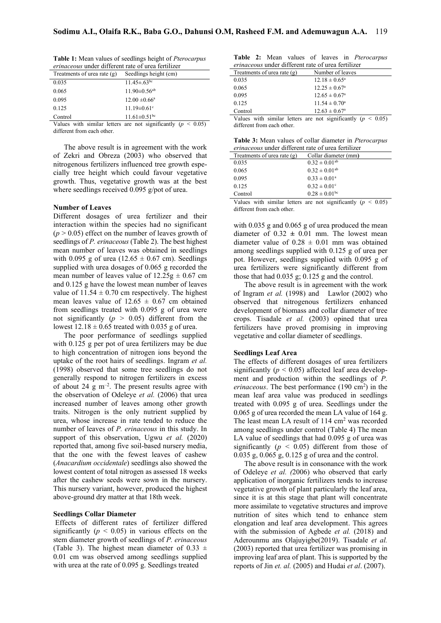| <b>Table 1:</b> Mean values of seedlings height of <i>Pterocarpus</i> |
|-----------------------------------------------------------------------|
| <i>erinaceous</i> under different rate of urea fertilizer             |
|                                                                       |

| Treatments of urea rate $(g)$ | Seedlings height (cm)          |
|-------------------------------|--------------------------------|
| 0.035                         | $11.45 \pm .63^{bc}$           |
| 0.065                         | $11.90 \pm 0.56$ <sup>ab</sup> |
| 0.095                         | $12.00 \pm 0.66^{\circ}$       |
| 0.125                         | $11.19 \pm 0.61$ °             |
| Control                       | $11.61 \pm 0.51$ <sup>bc</sup> |

Values with similar letters are not significantly  $(p < 0.05)$ different from each other.

The above result is in agreement with the work of Zekri and Obreza (2003) who observed that nitrogenous fertilizers influenced tree growth especially tree height which could favour vegetative growth. Thus, vegetative growth was at the best where seedlings received 0.095 g/pot of urea.

### **Number of Leaves**

Different dosages of urea fertilizer and their interaction within the species had no significant  $(p > 0.05)$  effect on the number of leaves growth of seedlings of *P. erinaceous* (Table 2). The best highest mean number of leaves was obtained in seedlings with 0.095 g of urea ( $12.65 \pm 0.67$  cm). Seedlings supplied with urea dosages of 0.065 g recorded the mean number of leaves value of  $12.25g \pm 0.67$  cm and 0.125 g have the lowest mean number of leaves value of  $11.54 \pm 0.70$  cm respectively. The highest mean leaves value of  $12.65 \pm 0.67$  cm obtained from seedlings treated with 0.095 g of urea were not significantly  $(p > 0.05)$  different from the lowest 12.18 ± 0.65 treated with 0.035 g of urea.

The poor performance of seedlings supplied with 0.125 g per pot of urea fertilizers may be due to high concentration of nitrogen ions beyond the uptake of the root hairs of seedlings. Ingram *et al.* (1998) observed that some tree seedlings do not generally respond to nitrogen fertilizers in excess of about 24  $\text{g}$  m<sup>-2</sup>. The present results agree with the observation of Odeleye *et al.* (2006) that urea increased number of leaves among other growth traits. Nitrogen is the only nutrient supplied by urea, whose increase in rate tended to reduce the number of leaves of *P. erinaceous* in this study. In support of this observation, Ugwu *et al.* (2020) reported that, among five soil-based nursery media, that the one with the fewest leaves of cashew (*Anacardium occidentale*) seedlings also showed the lowest content of total nitrogen as assessed 18 weeks after the cashew seeds were sown in the nursery. This nursery variant, however, produced the highest above-ground dry matter at that 18th week.

#### **Seedlings Collar Diameter**

 Effects of different rates of fertilizer differed significantly  $(p < 0.05)$  in various effects on the stem diameter growth of seedlings of *P. erinaceous* (Table 3). The highest mean diameter of 0.33  $\pm$ 0.01 cm was observed among seedlings supplied with urea at the rate of 0.095 g. Seedlings treated

|                                                           |  |  |  |  |  |  | Table 2: Mean values of leaves in Pterocarpus |
|-----------------------------------------------------------|--|--|--|--|--|--|-----------------------------------------------|
| <i>erinaceous</i> under different rate of urea fertilizer |  |  |  |  |  |  |                                               |

| Treatments of urea rate $(g)$ | Number of leaves                                                 |
|-------------------------------|------------------------------------------------------------------|
| 0.035                         | $12.18 \pm 0.65^{\circ}$                                         |
| 0.065                         | $12.25 \pm 0.67^{\circ}$                                         |
| 0.095                         | $12.65 \pm 0.67^{\circ}$                                         |
|                               |                                                                  |
| 0.125                         | $11.54 \pm 0.70^{\circ}$                                         |
| Control                       | $12.63 \pm 0.67^{\circ}$                                         |
|                               | Values with similar letters are not significantly ( $p < 0.05$ ) |
| different from each other     |                                                                  |

|                                                           |  |  |  |  | Table 3: Mean values of collar diameter in Pterocarpus |
|-----------------------------------------------------------|--|--|--|--|--------------------------------------------------------|
| <i>oringcoous</i> under different rote of urea fertilizer |  |  |  |  |                                                        |

| <i>erinaceous</i> under different rate of urea fertilizer |                                                                  |  |
|-----------------------------------------------------------|------------------------------------------------------------------|--|
| Treatments of urea rate $(g)$                             | Collar diameter (mm)                                             |  |
| 0.035                                                     | $0.32 \pm 0.01^{ab}$                                             |  |
| 0.065                                                     | $0.32 \pm 0.01^{ab}$                                             |  |
| 0.095                                                     | $0.33 \pm 0.01^{\circ}$                                          |  |
| 0.125                                                     | $0.32 \pm 0.01$ °                                                |  |
| Control                                                   | $0.28 \pm 0.01^{bc}$                                             |  |
|                                                           | Values with similar letters are not significantly ( $p < 0.05$ ) |  |

different from each other.

with 0.035 g and 0.065 g of urea produced the mean diameter of  $0.32 \pm 0.01$  mm. The lowest mean diameter value of  $0.28 \pm 0.01$  mm was obtained among seedlings supplied with 0.125 g of urea per pot. However, seedlings supplied with 0.095 g of urea fertilizers were significantly different from those that had  $0.035$  g;  $0.125$  g and the control.

The above result is in agreement with the work of Ingram *et al.* (1998) and Lawlor (2002) who observed that nitrogenous fertilizers enhanced development of biomass and collar diameter of tree crops. Tisadale *et al.* (2003) opined that urea fertilizers have proved promising in improving vegetative and collar diameter of seedlings.

### **Seedlings Leaf Area**

The effects of different dosages of urea fertilizers significantly ( $p < 0.05$ ) affected leaf area development and production within the seedlings of *P.*  erinaceous. The best performance (190 cm<sup>2</sup>) in the mean leaf area value was produced in seedlings treated with 0.095 g of urea. Seedlings under the 0.065 g of urea recorded the mean LA value of 164 g. The least mean LA result of 114 cm<sup>2</sup> was recorded among seedlings under control (Table 4) The mean LA value of seedlings that had 0.095 g of urea was significantly  $(p < 0.05)$  different from those of 0.035 g, 0.065 g, 0.125 g of urea and the control.

The above result is in consonance with the work of Odeleye *et al. (*2006) who observed that early application of inorganic fertilizers tends to increase vegetative growth of plant particularly the leaf area, since it is at this stage that plant will concentrate more assimilate to vegetative structures and improve nutrition of sites which tend to enhance stem elongation and leaf area development. This agrees with the submission of Agbede *et al.* (2018) and Aderounmu ans Olajuyigbe(2019). Tisadale *et al.* (2003) reported that urea fertilizer was promising in improving leaf area of plant. This is supported by the reports of Jin *et. al.* (2005) and Hudai *et al*. (2007).